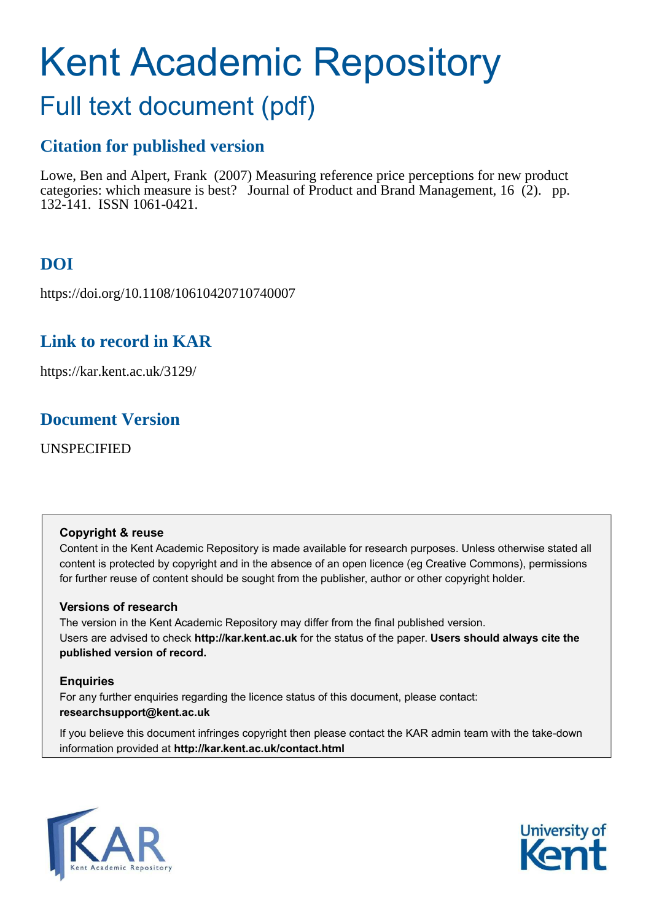# Kent Academic Repository

# Full text document (pdf)

# **Citation for published version**

Lowe, Ben and Alpert, Frank (2007) Measuring reference price perceptions for new product categories: which measure is best? Journal of Product and Brand Management, 16 (2). pp. 132-141. ISSN 1061-0421.

# **DOI**

https://doi.org/10.1108/10610420710740007

# **Link to record in KAR**

https://kar.kent.ac.uk/3129/

# **Document Version**

UNSPECIFIED

#### **Copyright & reuse**

Content in the Kent Academic Repository is made available for research purposes. Unless otherwise stated all content is protected by copyright and in the absence of an open licence (eg Creative Commons), permissions for further reuse of content should be sought from the publisher, author or other copyright holder.

#### **Versions of research**

The version in the Kent Academic Repository may differ from the final published version. Users are advised to check **http://kar.kent.ac.uk** for the status of the paper. **Users should always cite the published version of record.**

#### **Enquiries**

For any further enquiries regarding the licence status of this document, please contact: **researchsupport@kent.ac.uk**

If you believe this document infringes copyright then please contact the KAR admin team with the take-down information provided at **http://kar.kent.ac.uk/contact.html**



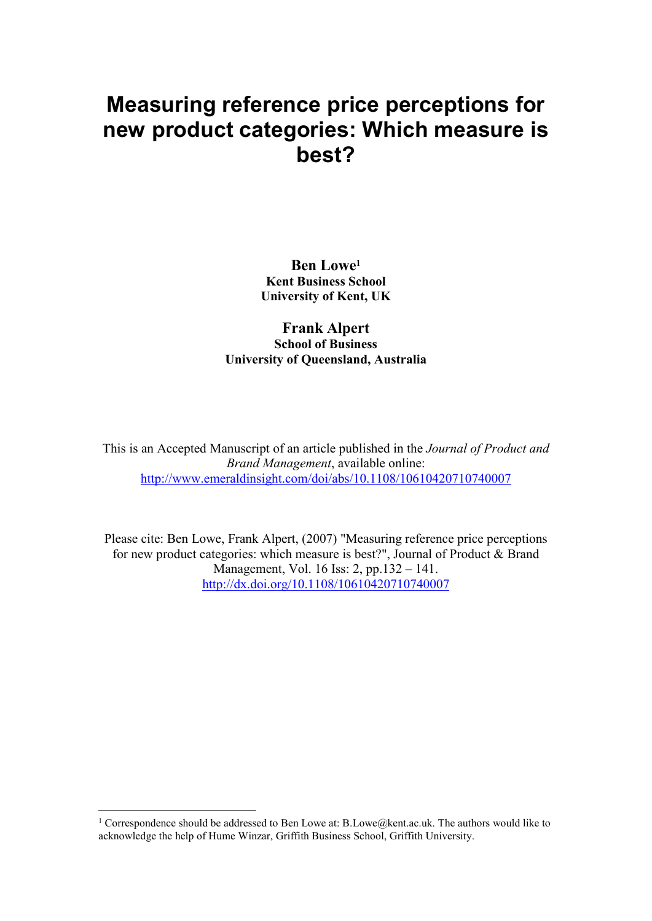# **Measuring reference price perceptions for** new product categories: Which measure is best?

**Ben Lowe**<sup>1</sup> **Kent Business School University of Kent, UK** 

#### **Frank Alpert School of Business University of Oueensland, Australia**

This is an Accepted Manuscript of an article published in the Journal of Product and Brand Management, available online: http://www.emeraldinsight.com/doi/abs/10.1108/10610420710740007

Please cite: Ben Lowe, Frank Alpert, (2007) "Measuring reference price perceptions for new product categories: which measure is best?", Journal of Product & Brand Management, Vol. 16 Iss: 2, pp.132 – 141. http://dx.doi.org/10.1108/10610420710740007

<sup>&</sup>lt;sup>1</sup> Correspondence should be addressed to Ben Lowe at: B.Lowe@kent.ac.uk. The authors would like to acknowledge the help of Hume Winzar, Griffith Business School, Griffith University.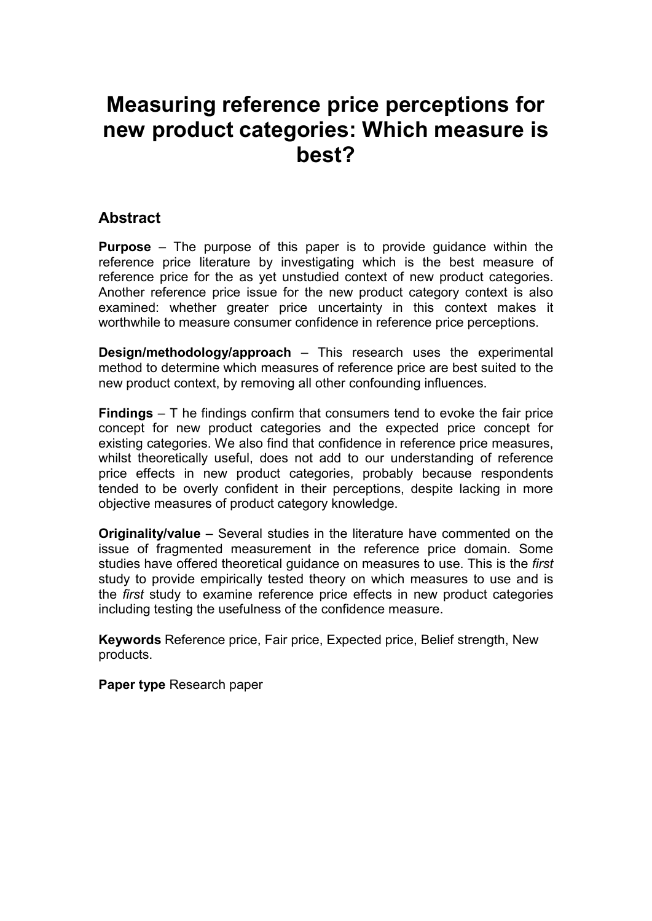# **Measuring reference price perceptions for** new product categories: Which measure is hest?

## **Abstract**

**Purpose** – The purpose of this paper is to provide quidance within the reference price literature by investigating which is the best measure of reference price for the as yet unstudied context of new product categories. Another reference price issue for the new product category context is also examined: whether greater price uncertainty in this context makes it worthwhile to measure consumer confidence in reference price perceptions.

**Design/methodology/approach**  $-$  This research uses the experimental method to determine which measures of reference price are best suited to the new product context, by removing all other confounding influences.

**Findings**  $-$  T he findings confirm that consumers tend to evoke the fair price concept for new product categories and the expected price concept for existing categories. We also find that confidence in reference price measures, whilst theoretically useful, does not add to our understanding of reference price effects in new product categories, probably because respondents tended to be overly confident in their perceptions, despite lacking in more objective measures of product category knowledge.

**Originality/value** – Several studies in the literature have commented on the issue of fragmented measurement in the reference price domain. Some studies have offered theoretical guidance on measures to use. This is the first study to provide empirically tested theory on which measures to use and is the first study to examine reference price effects in new product categories including testing the usefulness of the confidence measure.

Keywords Reference price, Fair price, Expected price, Belief strength, New products.

Paper type Research paper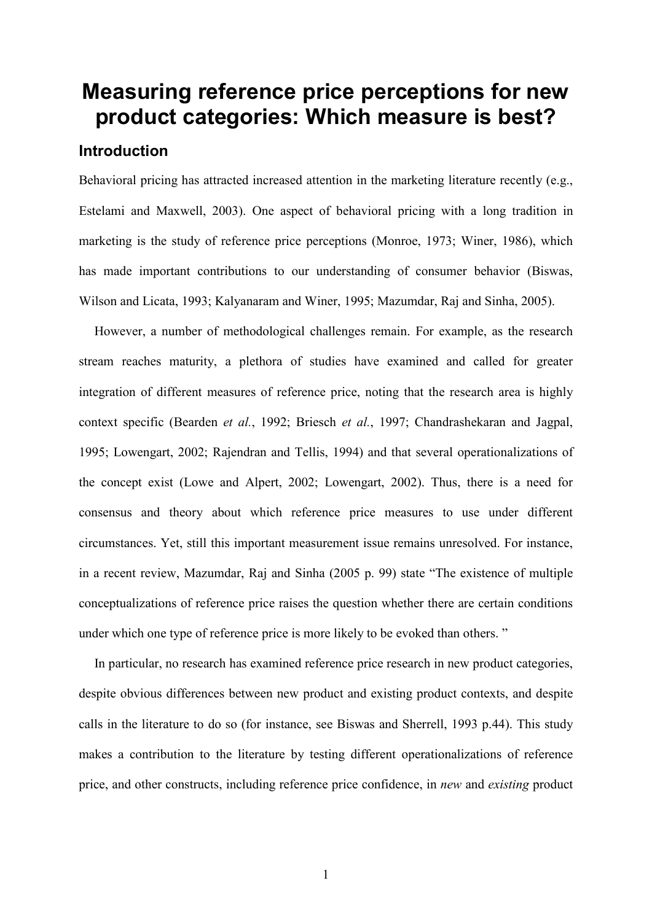# **Measuring reference price perceptions for new** product categories: Which measure is best?

#### **Introduction**

Behavioral pricing has attracted increased attention in the marketing literature recently (e.g., Estelami and Maxwell, 2003). One aspect of behavioral pricing with a long tradition in marketing is the study of reference price perceptions (Monroe, 1973; Winer, 1986), which has made important contributions to our understanding of consumer behavior (Biswas, Wilson and Licata, 1993; Kalyanaram and Winer, 1995; Mazumdar, Raj and Sinha, 2005).

However, a number of methodological challenges remain. For example, as the research stream reaches maturity, a plethora of studies have examined and called for greater integration of different measures of reference price, noting that the research area is highly context specific (Bearden et al., 1992; Briesch et al., 1997; Chandrashekaran and Jagpal, 1995; Lowengart, 2002; Rajendran and Tellis, 1994) and that several operationalizations of the concept exist (Lowe and Alpert, 2002; Lowengart, 2002). Thus, there is a need for consensus and theory about which reference price measures to use under different circumstances. Yet, still this important measurement issue remains unresolved. For instance, in a recent review, Mazumdar, Raj and Sinha (2005 p. 99) state "The existence of multiple conceptualizations of reference price raises the question whether there are certain conditions under which one type of reference price is more likely to be evoked than others."

In particular, no research has examined reference price research in new product categories, despite obvious differences between new product and existing product contexts, and despite calls in the literature to do so (for instance, see Biswas and Sherrell, 1993 p.44). This study makes a contribution to the literature by testing different operationalizations of reference price, and other constructs, including reference price confidence, in new and existing product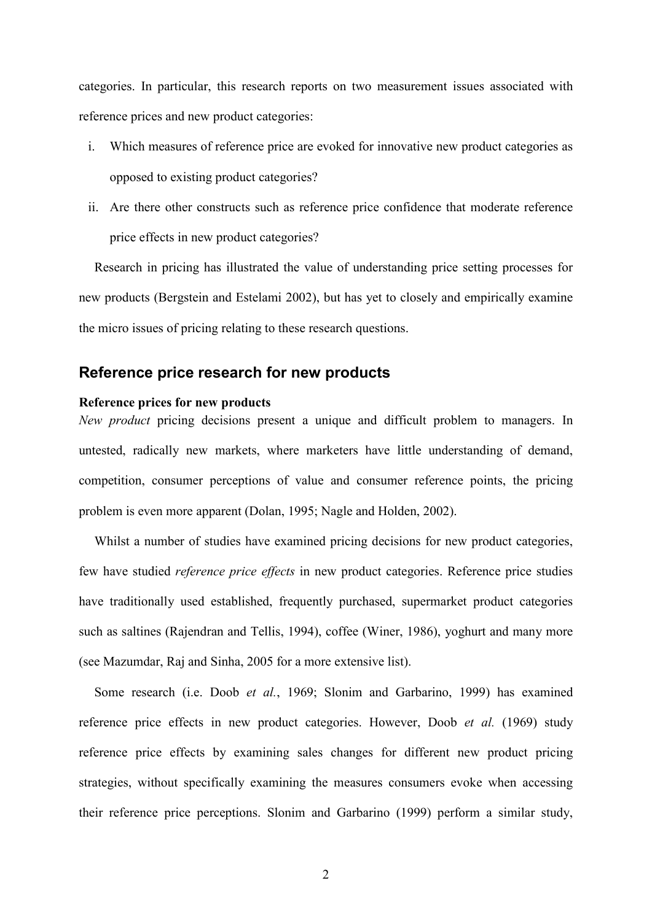categories. In particular, this research reports on two measurement issues associated with reference prices and new product categories:

- Which measures of reference price are evoked for innovative new product categories as  $\mathbf{i}$ opposed to existing product categories?
- ii. Are there other constructs such as reference price confidence that moderate reference price effects in new product categories?

Research in pricing has illustrated the value of understanding price setting processes for new products (Bergstein and Estelami 2002), but has yet to closely and empirically examine the micro issues of pricing relating to these research questions.

#### Reference price research for new products

#### Reference prices for new products

New product pricing decisions present a unique and difficult problem to managers. In untested, radically new markets, where marketers have little understanding of demand, competition, consumer perceptions of value and consumer reference points, the pricing problem is even more apparent (Dolan, 1995; Nagle and Holden, 2002).

Whilst a number of studies have examined pricing decisions for new product categories, few have studied *reference price effects* in new product categories. Reference price studies have traditionally used established, frequently purchased, supermarket product categories such as saltines (Rajendran and Tellis, 1994), coffee (Winer, 1986), yoghurt and many more (see Mazumdar, Raj and Sinha, 2005 for a more extensive list).

Some research (i.e. Doob et al., 1969; Slonim and Garbarino, 1999) has examined reference price effects in new product categories. However, Doob et al. (1969) study reference price effects by examining sales changes for different new product pricing strategies, without specifically examining the measures consumers evoke when accessing their reference price perceptions. Slonim and Garbarino (1999) perform a similar study,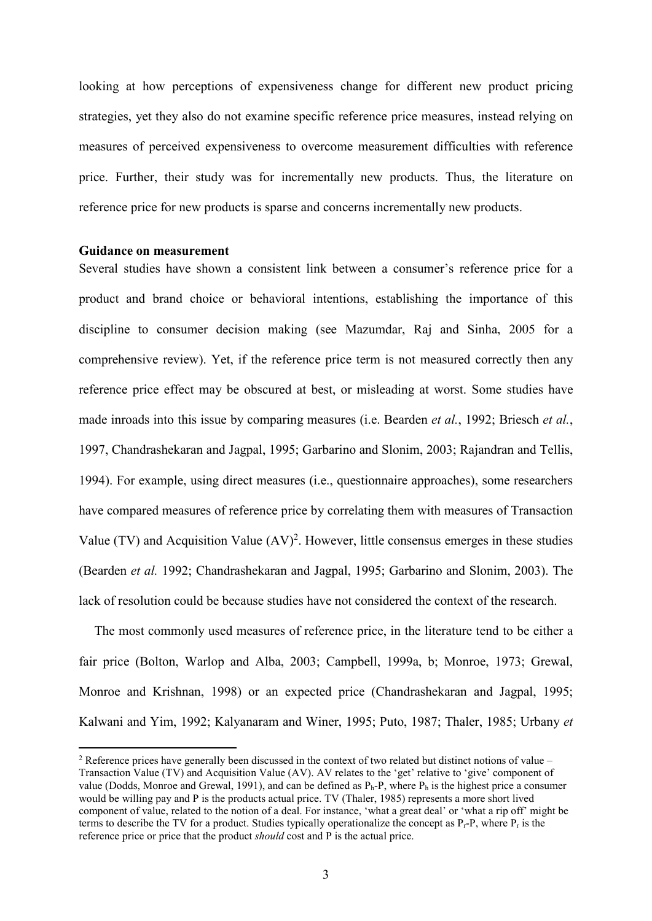looking at how perceptions of expensiveness change for different new product pricing strategies, yet they also do not examine specific reference price measures, instead relying on measures of perceived expensiveness to overcome measurement difficulties with reference price. Further, their study was for incrementally new products. Thus, the literature on reference price for new products is sparse and concerns incrementally new products.

#### **Guidance on measurement**

Several studies have shown a consistent link between a consumer's reference price for a product and brand choice or behavioral intentions, establishing the importance of this discipline to consumer decision making (see Mazumdar, Raj and Sinha, 2005 for a comprehensive review). Yet, if the reference price term is not measured correctly then any reference price effect may be obscured at best, or misleading at worst. Some studies have made inroads into this issue by comparing measures (i.e. Bearden *et al.*, 1992; Briesch *et al.*, 1997, Chandrashekaran and Jagpal, 1995; Garbarino and Slonim, 2003; Rajandran and Tellis, 1994). For example, using direct measures (i.e., questionnaire approaches), some researchers have compared measures of reference price by correlating them with measures of Transaction Value (TV) and Acquisition Value  $(AV)^2$ . However, little consensus emerges in these studies (Bearden *et al.* 1992; Chandrashekaran and Jagpal, 1995; Garbarino and Slonim, 2003). The lack of resolution could be because studies have not considered the context of the research.

The most commonly used measures of reference price, in the literature tend to be either a fair price (Bolton, Warlop and Alba, 2003; Campbell, 1999a, b; Monroe, 1973; Grewal, Monroe and Krishnan, 1998) or an expected price (Chandrashekaran and Jagpal, 1995; Kalwani and Yim, 1992; Kalyanaram and Winer, 1995; Puto, 1987; Thaler, 1985; Urbany et

<sup>&</sup>lt;sup>2</sup> Reference prices have generally been discussed in the context of two related but distinct notions of value  $-$ Transaction Value (TV) and Acquisition Value (AV). AV relates to the 'get' relative to 'give' component of value (Dodds. Monroe and Grewal, 1991), and can be defined as  $P_h$ -P, where  $P_h$  is the highest price a consumer would be willing pay and P is the products actual price. TV (Thaler, 1985) represents a more short lived component of value, related to the notion of a deal. For instance, 'what a great deal' or 'what a rip off' might be terms to describe the TV for a product. Studies typically operationalize the concept as  $P<sub>r</sub>$ -P, where P<sub>r</sub> is the reference price or price that the product should cost and P is the actual price.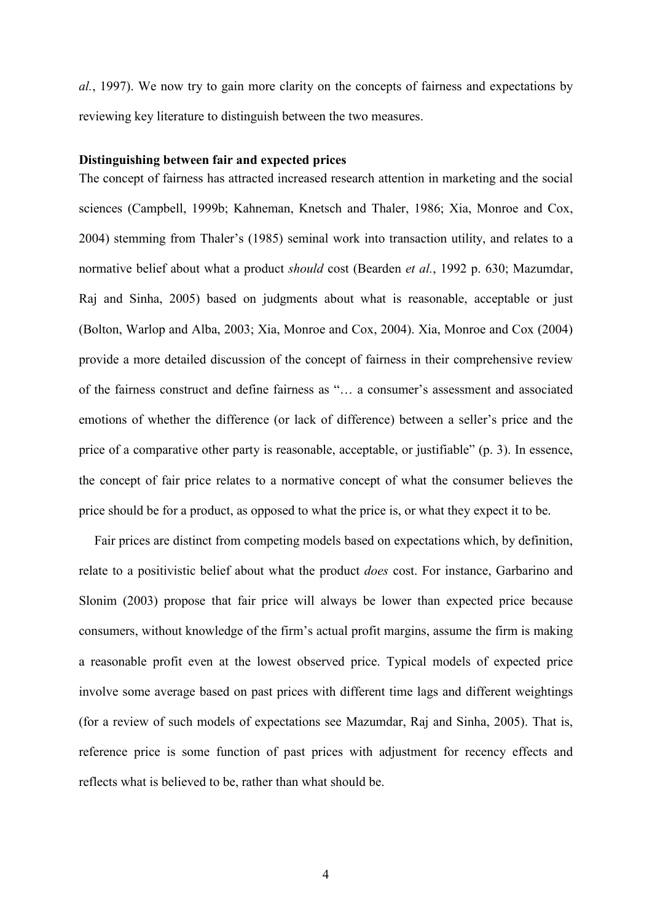al., 1997). We now try to gain more clarity on the concepts of fairness and expectations by reviewing key literature to distinguish between the two measures.

#### Distinguishing between fair and expected prices

The concept of fairness has attracted increased research attention in marketing and the social sciences (Campbell, 1999b; Kahneman, Knetsch and Thaler, 1986; Xia, Monroe and Cox, 2004) stemming from Thaler's (1985) seminal work into transaction utility, and relates to a normative belief about what a product should cost (Bearden et al., 1992 p. 630; Mazumdar, Raj and Sinha, 2005) based on judgments about what is reasonable, acceptable or just (Bolton, Warlop and Alba, 2003; Xia, Monroe and Cox, 2004). Xia, Monroe and Cox (2004) provide a more detailed discussion of the concept of fairness in their comprehensive review of the fairness construct and define fairness as "... a consumer's assessment and associated emotions of whether the difference (or lack of difference) between a seller's price and the price of a comparative other party is reasonable, acceptable, or justifiable" (p. 3). In essence, the concept of fair price relates to a normative concept of what the consumer believes the price should be for a product, as opposed to what the price is, or what they expect it to be.

Fair prices are distinct from competing models based on expectations which, by definition, relate to a positivistic belief about what the product *does* cost. For instance, Garbarino and Slonim (2003) propose that fair price will always be lower than expected price because consumers, without knowledge of the firm's actual profit margins, assume the firm is making a reasonable profit even at the lowest observed price. Typical models of expected price involve some average based on past prices with different time lags and different weightings (for a review of such models of expectations see Mazumdar, Raj and Sinha, 2005). That is, reference price is some function of past prices with adjustment for recency effects and reflects what is believed to be, rather than what should be.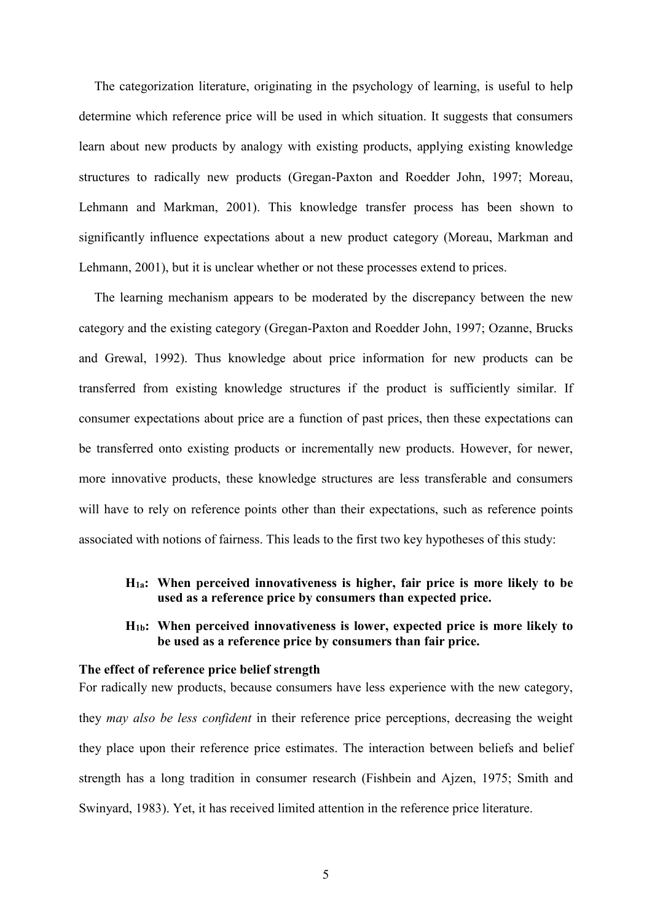The categorization literature, originating in the psychology of learning, is useful to help determine which reference price will be used in which situation. It suggests that consumers learn about new products by analogy with existing products, applying existing knowledge structures to radically new products (Gregan-Paxton and Roedder John, 1997; Moreau, Lehmann and Markman, 2001). This knowledge transfer process has been shown to significantly influence expectations about a new product category (Moreau, Markman and Lehmann, 2001), but it is unclear whether or not these processes extend to prices.

The learning mechanism appears to be moderated by the discrepancy between the new category and the existing category (Gregan-Paxton and Roedder John, 1997; Ozanne, Brucks and Grewal, 1992). Thus knowledge about price information for new products can be transferred from existing knowledge structures if the product is sufficiently similar. If consumer expectations about price are a function of past prices, then these expectations can be transferred onto existing products or incrementally new products. However, for newer, more innovative products, these knowledge structures are less transferable and consumers will have to rely on reference points other than their expectations, such as reference points associated with notions of fairness. This leads to the first two key hypotheses of this study:

#### $H<sub>1a</sub>$ : When perceived innovativeness is higher, fair price is more likely to be used as a reference price by consumers than expected price.

#### $H_{1b}$ : When perceived innovativeness is lower, expected price is more likely to be used as a reference price by consumers than fair price.

#### The effect of reference price belief strength

For radically new products, because consumers have less experience with the new category, they may also be less confident in their reference price perceptions, decreasing the weight they place upon their reference price estimates. The interaction between beliefs and belief strength has a long tradition in consumer research (Fishbein and Ajzen, 1975; Smith and Swinyard, 1983). Yet, it has received limited attention in the reference price literature.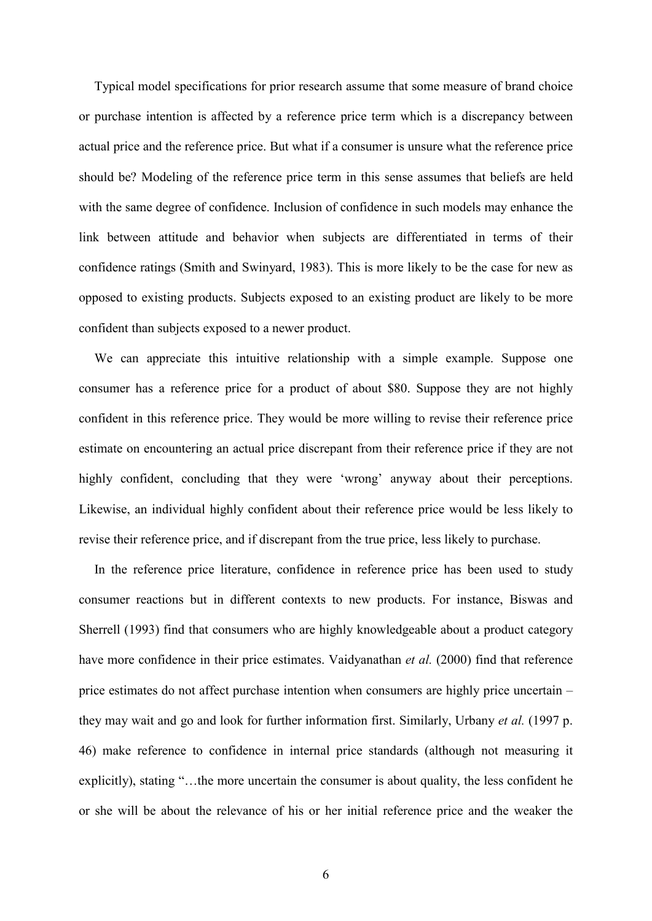Typical model specifications for prior research assume that some measure of brand choice or purchase intention is affected by a reference price term which is a discrepancy between actual price and the reference price. But what if a consumer is unsure what the reference price should be? Modeling of the reference price term in this sense assumes that beliefs are held with the same degree of confidence. Inclusion of confidence in such models may enhance the link between attitude and behavior when subjects are differentiated in terms of their confidence ratings (Smith and Swinyard, 1983). This is more likely to be the case for new as opposed to existing products. Subjects exposed to an existing product are likely to be more confident than subjects exposed to a newer product.

We can appreciate this intuitive relationship with a simple example. Suppose one consumer has a reference price for a product of about \$80. Suppose they are not highly confident in this reference price. They would be more willing to revise their reference price estimate on encountering an actual price discrepant from their reference price if they are not highly confident, concluding that they were 'wrong' anyway about their perceptions. Likewise, an individual highly confident about their reference price would be less likely to revise their reference price, and if discrepant from the true price, less likely to purchase.

In the reference price literature, confidence in reference price has been used to study consumer reactions but in different contexts to new products. For instance, Biswas and Sherrell (1993) find that consumers who are highly knowledgeable about a product category have more confidence in their price estimates. Vaidyanathan *et al.* (2000) find that reference price estimates do not affect purchase intention when consumers are highly price uncertain – they may wait and go and look for further information first. Similarly, Urbany et al. (1997 p. 46) make reference to confidence in internal price standards (although not measuring it explicitly), stating "...the more uncertain the consumer is about quality, the less confident he or she will be about the relevance of his or her initial reference price and the weaker the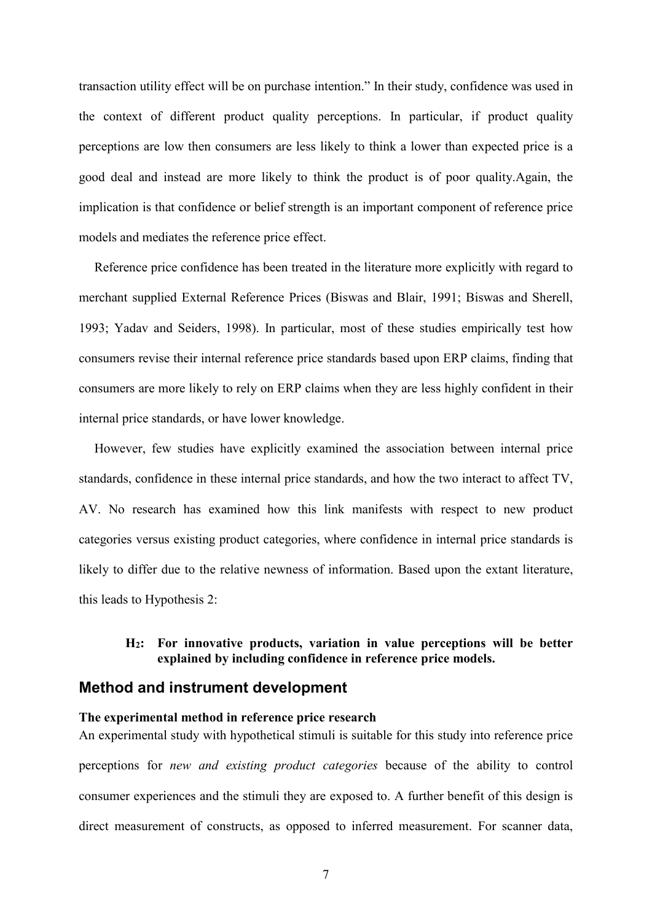transaction utility effect will be on purchase intention." In their study, confidence was used in the context of different product quality perceptions. In particular, if product quality perceptions are low then consumers are less likely to think a lower than expected price is a good deal and instead are more likely to think the product is of poor quality. Again, the implication is that confidence or belief strength is an important component of reference price models and mediates the reference price effect.

Reference price confidence has been treated in the literature more explicitly with regard to merchant supplied External Reference Prices (Biswas and Blair, 1991; Biswas and Sherell, 1993; Yadav and Seiders, 1998). In particular, most of these studies empirically test how consumers revise their internal reference price standards based upon ERP claims, finding that consumers are more likely to rely on ERP claims when they are less highly confident in their internal price standards, or have lower knowledge.

However, few studies have explicitly examined the association between internal price standards, confidence in these internal price standards, and how the two interact to affect TV, AV. No research has examined how this link manifests with respect to new product categories versus existing product categories, where confidence in internal price standards is likely to differ due to the relative newness of information. Based upon the extant literature, this leads to Hypothesis 2:

#### H<sub>2</sub>: For innovative products, variation in value perceptions will be better explained by including confidence in reference price models.

#### Method and instrument development

#### The experimental method in reference price research

An experimental study with hypothetical stimuli is suitable for this study into reference price perceptions for *new and existing product categories* because of the ability to control consumer experiences and the stimuli they are exposed to. A further benefit of this design is direct measurement of constructs, as opposed to inferred measurement. For scanner data,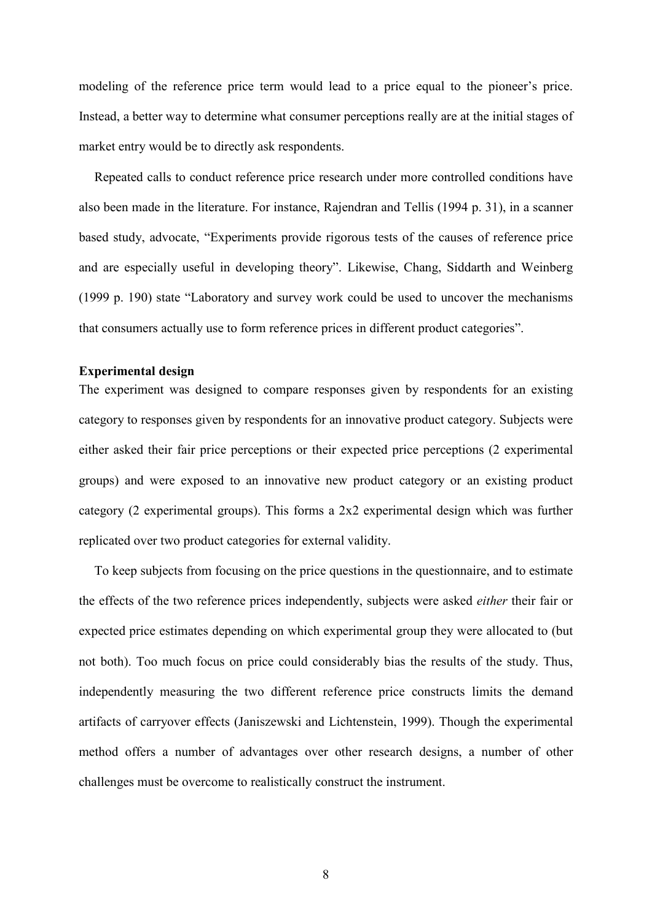modeling of the reference price term would lead to a price equal to the pioneer's price. Instead, a better way to determine what consumer perceptions really are at the initial stages of market entry would be to directly ask respondents.

Repeated calls to conduct reference price research under more controlled conditions have also been made in the literature. For instance, Rajendran and Tellis (1994 p. 31), in a scanner based study, advocate, "Experiments provide rigorous tests of the causes of reference price and are especially useful in developing theory". Likewise, Chang, Siddarth and Weinberg (1999 p. 190) state "Laboratory and survey work could be used to uncover the mechanisms that consumers actually use to form reference prices in different product categories".

#### **Experimental design**

The experiment was designed to compare responses given by respondents for an existing category to responses given by respondents for an innovative product category. Subjects were either asked their fair price perceptions or their expected price perceptions (2 experimental groups) and were exposed to an innovative new product category or an existing product category (2 experimental groups). This forms a  $2x2$  experimental design which was further replicated over two product categories for external validity.

To keep subjects from focusing on the price questions in the questionnaire, and to estimate the effects of the two reference prices independently, subjects were asked *either* their fair or expected price estimates depending on which experimental group they were allocated to (but not both). Too much focus on price could considerably bias the results of the study. Thus, independently measuring the two different reference price constructs limits the demand artifacts of carryover effects (Janiszewski and Lichtenstein, 1999). Though the experimental method offers a number of advantages over other research designs, a number of other challenges must be overcome to realistically construct the instrument.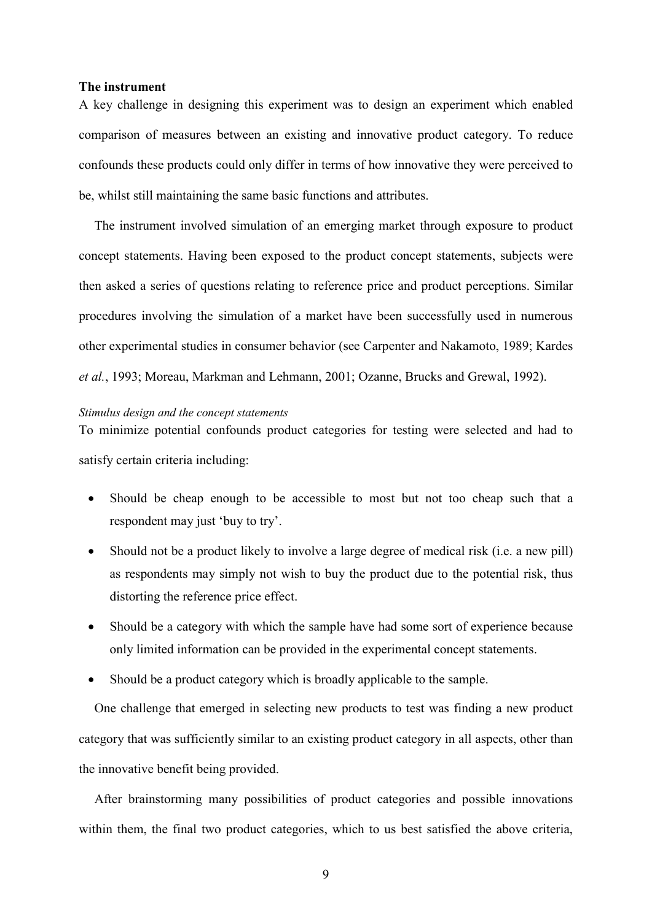#### The instrument

A key challenge in designing this experiment was to design an experiment which enabled comparison of measures between an existing and innovative product category. To reduce confounds these products could only differ in terms of how innovative they were perceived to be, whilst still maintaining the same basic functions and attributes.

The instrument involved simulation of an emerging market through exposure to product concept statements. Having been exposed to the product concept statements, subjects were then asked a series of questions relating to reference price and product perceptions. Similar procedures involving the simulation of a market have been successfully used in numerous other experimental studies in consumer behavior (see Carpenter and Nakamoto, 1989; Kardes et al., 1993; Moreau, Markman and Lehmann, 2001; Ozanne, Brucks and Grewal, 1992).

#### Stimulus design and the concept statements

To minimize potential confounds product categories for testing were selected and had to satisfy certain criteria including:

- Should be cheap enough to be accessible to most but not too cheap such that a  $\bullet$ respondent may just 'buy to try'.
- Should not be a product likely to involve a large degree of medical risk (i.e. a new pill)  $\bullet$ as respondents may simply not wish to buy the product due to the potential risk, thus distorting the reference price effect.
- Should be a category with which the sample have had some sort of experience because only limited information can be provided in the experimental concept statements.
- Should be a product category which is broadly applicable to the sample.

One challenge that emerged in selecting new products to test was finding a new product category that was sufficiently similar to an existing product category in all aspects, other than the innovative benefit being provided.

After brainstorming many possibilities of product categories and possible innovations within them, the final two product categories, which to us best satisfied the above criteria,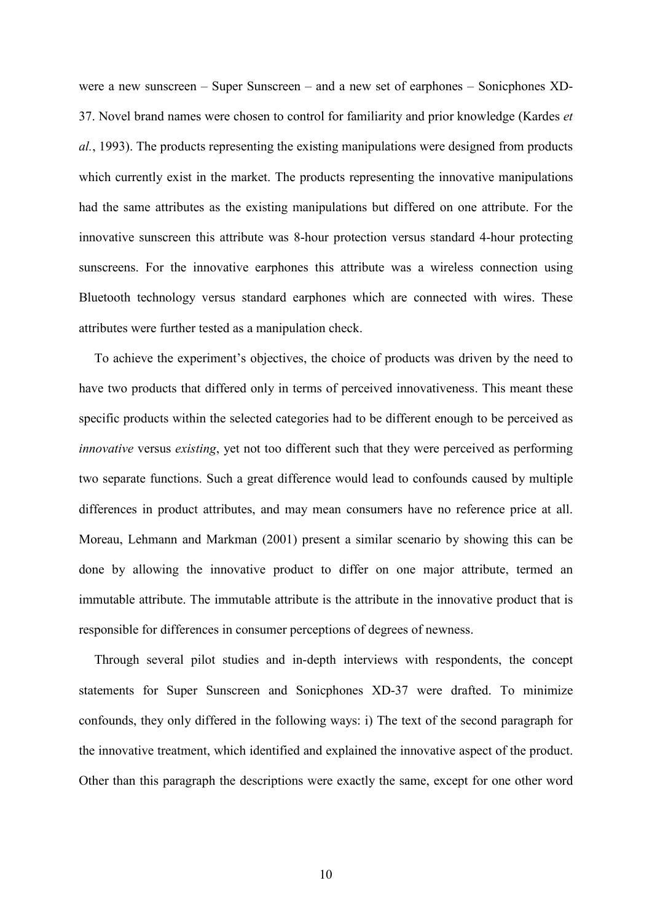were a new sunscreen – Super Sunscreen – and a new set of earphones – Sonicphones XD-37. Novel brand names were chosen to control for familiarity and prior knowledge (Kardes et *al.*, 1993). The products representing the existing manipulations were designed from products which currently exist in the market. The products representing the innovative manipulations had the same attributes as the existing manipulations but differed on one attribute. For the innovative sunscreen this attribute was 8-hour protection versus standard 4-hour protecting sunscreens. For the innovative earphones this attribute was a wireless connection using Bluetooth technology versus standard earphones which are connected with wires. These attributes were further tested as a manipulation check.

To achieve the experiment's objectives, the choice of products was driven by the need to have two products that differed only in terms of perceived innovativeness. This meant these specific products within the selected categories had to be different enough to be perceived as *innovative* versus *existing*, yet not too different such that they were perceived as performing two separate functions. Such a great difference would lead to confounds caused by multiple differences in product attributes, and may mean consumers have no reference price at all. Moreau, Lehmann and Markman (2001) present a similar scenario by showing this can be done by allowing the innovative product to differ on one major attribute, termed an immutable attribute. The immutable attribute is the attribute in the innovative product that is responsible for differences in consumer perceptions of degrees of newness.

Through several pilot studies and in-depth interviews with respondents, the concept statements for Super Sunscreen and Sonicphones XD-37 were drafted. To minimize confounds, they only differed in the following ways: i) The text of the second paragraph for the innovative treatment, which identified and explained the innovative aspect of the product. Other than this paragraph the descriptions were exactly the same, except for one other word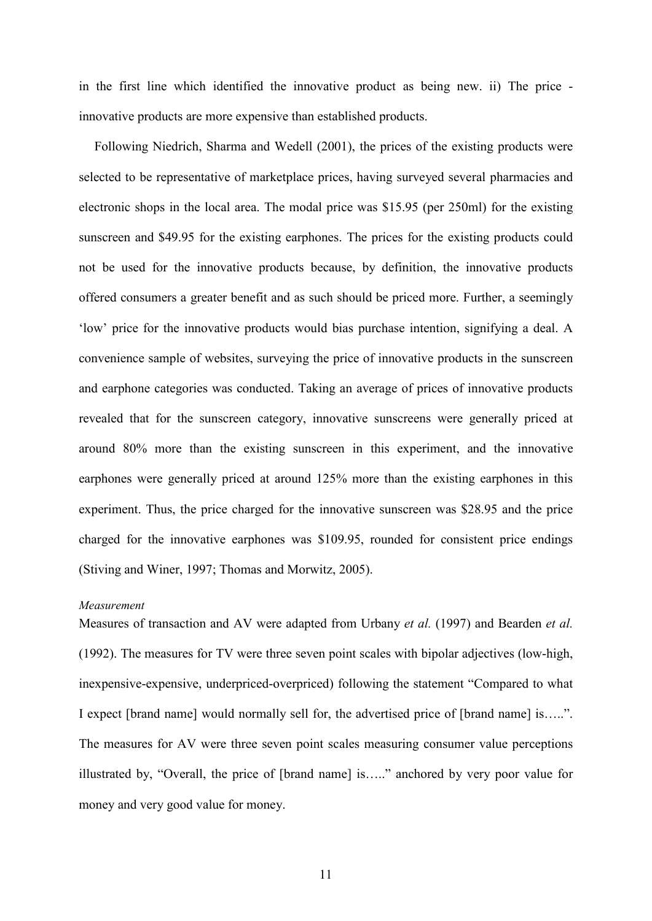in the first line which identified the innovative product as being new. ii) The price innovative products are more expensive than established products.

Following Niedrich, Sharma and Wedell (2001), the prices of the existing products were selected to be representative of marketplace prices, having surveyed several pharmacies and electronic shops in the local area. The modal price was \$15.95 (per 250ml) for the existing sunscreen and \$49.95 for the existing earphones. The prices for the existing products could not be used for the innovative products because, by definition, the innovative products offered consumers a greater benefit and as such should be priced more. Further, a seemingly 'low' price for the innovative products would bias purchase intention, signifying a deal. A convenience sample of websites, surveying the price of innovative products in the sunscreen and earphone categories was conducted. Taking an average of prices of innovative products revealed that for the sunscreen category, innovative sunscreens were generally priced at around 80% more than the existing sunscreen in this experiment, and the innovative earphones were generally priced at around 125% more than the existing earphones in this experiment. Thus, the price charged for the innovative sunscreen was \$28.95 and the price charged for the innovative earphones was \$109.95, rounded for consistent price endings (Stiving and Winer, 1997; Thomas and Morwitz, 2005).

#### Measurement

Measures of transaction and AV were adapted from Urbany et al. (1997) and Bearden et al. (1992). The measures for TV were three seven point scales with bipolar adjectives (low-high, inexpensive-expensive, underpriced-overpriced) following the statement "Compared to what I expect [brand name] would normally sell for, the advertised price of [brand name] is.....". The measures for AV were three seven point scales measuring consumer value perceptions illustrated by, "Overall, the price of [brand name] is....." anchored by very poor value for money and very good value for money.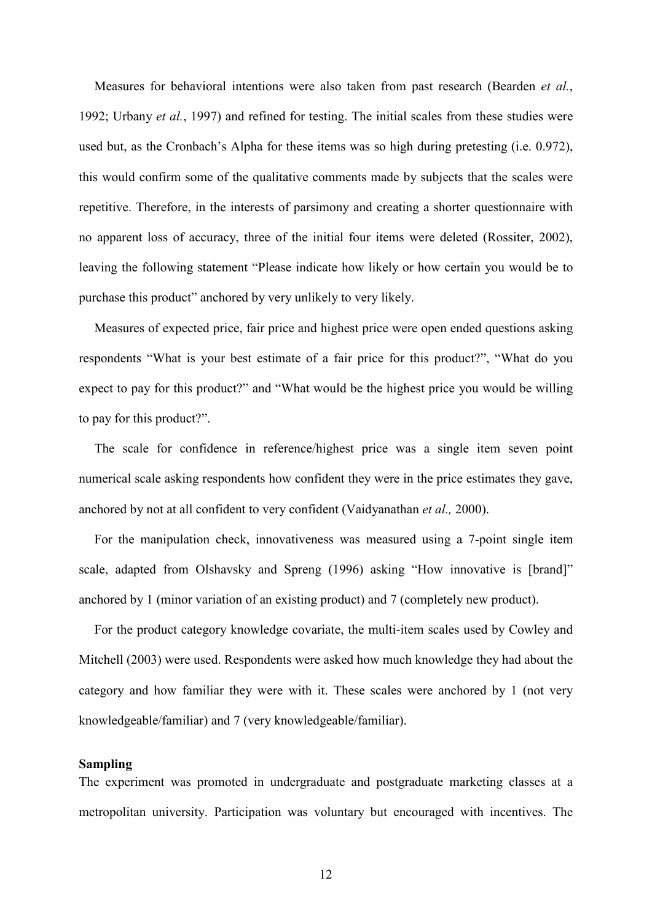Measures for behavioral intentions were also taken from past research (Bearden et al., 1992; Urbany et al., 1997) and refined for testing. The initial scales from these studies were used but, as the Cronbach's Alpha for these items was so high during pretesting (i.e. 0.972), this would confirm some of the qualitative comments made by subjects that the scales were repetitive. Therefore, in the interests of parsimony and creating a shorter questionnaire with no apparent loss of accuracy, three of the initial four items were deleted (Rossiter, 2002), leaving the following statement "Please indicate how likely or how certain you would be to purchase this product" anchored by very unlikely to very likely.

Measures of expected price, fair price and highest price were open ended questions asking respondents "What is your best estimate of a fair price for this product?", "What do you expect to pay for this product?" and "What would be the highest price you would be willing to pay for this product?".

The scale for confidence in reference/highest price was a single item seven point numerical scale asking respondents how confident they were in the price estimates they gave, anchored by not at all confident to very confident (Vaidyanathan et al., 2000).

For the manipulation check, innovativeness was measured using a 7-point single item scale, adapted from Olshavsky and Spreng (1996) asking "How innovative is [brand]" anchored by 1 (minor variation of an existing product) and 7 (completely new product).

For the product category knowledge covariate, the multi-item scales used by Cowley and Mitchell (2003) were used. Respondents were asked how much knowledge they had about the category and how familiar they were with it. These scales were anchored by 1 (not very knowledgeable/familiar) and 7 (very knowledgeable/familiar).

#### **Sampling**

The experiment was promoted in undergraduate and postgraduate marketing classes at a metropolitan university. Participation was voluntary but encouraged with incentives. The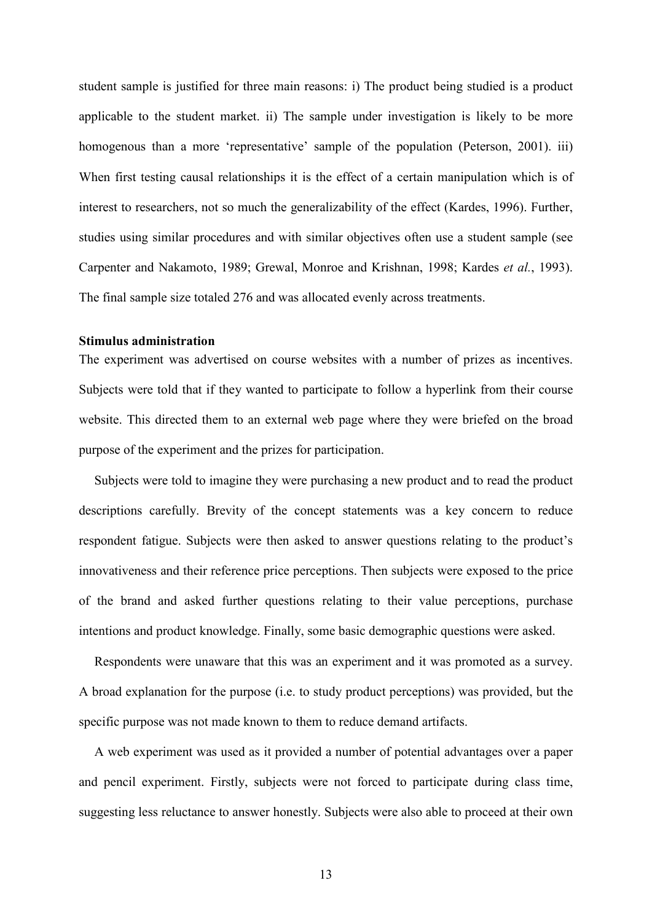student sample is justified for three main reasons: i) The product being studied is a product applicable to the student market. ii) The sample under investigation is likely to be more homogenous than a more 'representative' sample of the population (Peterson, 2001). iii) When first testing causal relationships it is the effect of a certain manipulation which is of interest to researchers, not so much the generalizability of the effect (Kardes, 1996). Further, studies using similar procedures and with similar objectives often use a student sample (see Carpenter and Nakamoto, 1989; Grewal, Monroe and Krishnan, 1998; Kardes et al., 1993). The final sample size totaled 276 and was allocated evenly across treatments.

#### **Stimulus administration**

The experiment was advertised on course websites with a number of prizes as incentives. Subjects were told that if they wanted to participate to follow a hyperlink from their course website. This directed them to an external web page where they were briefed on the broad purpose of the experiment and the prizes for participation.

Subjects were told to imagine they were purchasing a new product and to read the product descriptions carefully. Brevity of the concept statements was a key concern to reduce respondent fatigue. Subjects were then asked to answer questions relating to the product's innovativeness and their reference price perceptions. Then subjects were exposed to the price of the brand and asked further questions relating to their value perceptions, purchase intentions and product knowledge. Finally, some basic demographic questions were asked.

Respondents were unaware that this was an experiment and it was promoted as a survey. A broad explanation for the purpose (i.e. to study product perceptions) was provided, but the specific purpose was not made known to them to reduce demand artifacts.

A web experiment was used as it provided a number of potential advantages over a paper and pencil experiment. Firstly, subjects were not forced to participate during class time, suggesting less reluctance to answer honestly. Subjects were also able to proceed at their own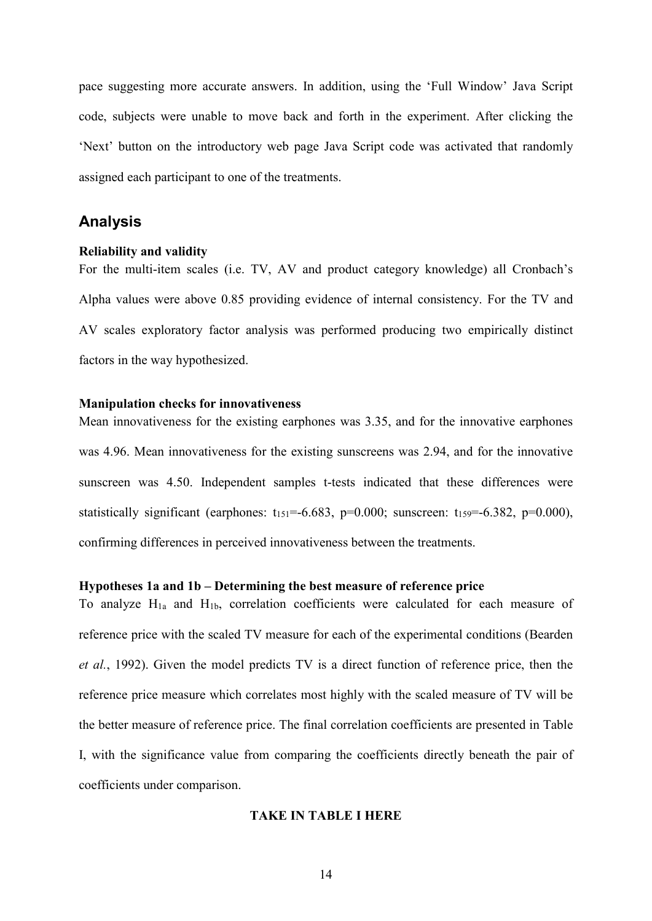pace suggesting more accurate answers. In addition, using the 'Full Window' Java Script code, subjects were unable to move back and forth in the experiment. After clicking the 'Next' button on the introductory web page Java Script code was activated that randomly assigned each participant to one of the treatments.

#### **Analysis**

#### **Reliability and validity**

For the multi-item scales (i.e. TV, AV and product category knowledge) all Cronbach's Alpha values were above 0.85 providing evidence of internal consistency. For the TV and AV scales exploratory factor analysis was performed producing two empirically distinct factors in the way hypothesized.

#### **Manipulation checks for innovativeness**

Mean innovativeness for the existing earphones was 3.35, and for the innovative earphones was 4.96. Mean innovativeness for the existing sunscreens was 2.94, and for the innovative sunscreen was 4.50. Independent samples t-tests indicated that these differences were statistically significant (earphones:  $t_{151} = -6.683$ , p=0.000; sunscreen:  $t_{159} = -6.382$ , p=0.000), confirming differences in perceived innovativeness between the treatments.

#### Hypotheses 1a and 1b - Determining the best measure of reference price

To analyze  $H_{1a}$  and  $H_{1b}$ , correlation coefficients were calculated for each measure of reference price with the scaled TV measure for each of the experimental conditions (Bearden *et al.*, 1992). Given the model predicts TV is a direct function of reference price, then the reference price measure which correlates most highly with the scaled measure of TV will be the better measure of reference price. The final correlation coefficients are presented in Table I, with the significance value from comparing the coefficients directly beneath the pair of coefficients under comparison.

#### **TAKE IN TABLE I HERE**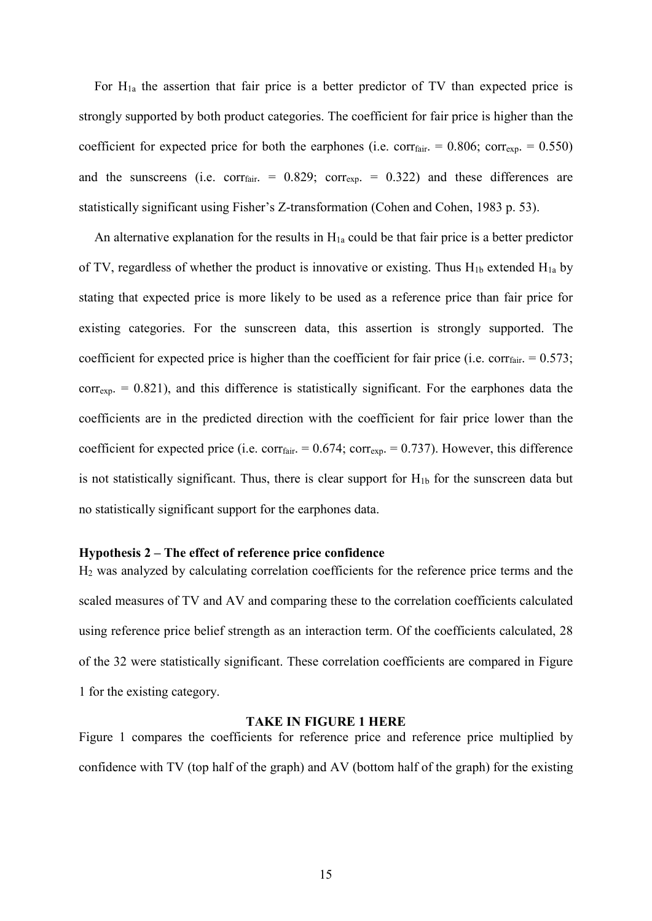For  $H_{1a}$  the assertion that fair price is a better predictor of TV than expected price is strongly supported by both product categories. The coefficient for fair price is higher than the coefficient for expected price for both the earphones (i.e. corr<sub>fair</sub> =  $0.806$ ; corr<sub>exp</sub> =  $0.550$ ) and the sunscreens (i.e. corr<sub>fair</sub> =  $0.829$ ; corr<sub>exp</sub> =  $0.322$ ) and these differences are statistically significant using Fisher's Z-transformation (Cohen and Cohen, 1983 p. 53).

An alternative explanation for the results in  $H_{1a}$  could be that fair price is a better predictor of TV, regardless of whether the product is innovative or existing. Thus  $H_{1b}$  extended  $H_{1a}$  by stating that expected price is more likely to be used as a reference price than fair price for existing categories. For the sunscreen data, this assertion is strongly supported. The coefficient for expected price is higher than the coefficient for fair price (i.e. corr<sub>fair</sub>.  $= 0.573$ ;  $\text{corr}_{\text{exp}}$  = 0.821), and this difference is statistically significant. For the earphones data the coefficients are in the predicted direction with the coefficient for fair price lower than the coefficient for expected price (i.e. corr<sub>fair</sub>. =  $0.674$ ; corr<sub>exp.</sub> = 0.737). However, this difference is not statistically significant. Thus, there is clear support for  $H_{1b}$  for the sunscreen data but no statistically significant support for the earphones data.

#### Hypothesis 2 – The effect of reference price confidence

 $H<sub>2</sub>$  was analyzed by calculating correlation coefficients for the reference price terms and the scaled measures of TV and AV and comparing these to the correlation coefficients calculated using reference price belief strength as an interaction term. Of the coefficients calculated, 28 of the 32 were statistically significant. These correlation coefficients are compared in Figure 1 for the existing category.

#### **TAKE IN FIGURE 1 HERE**

Figure 1 compares the coefficients for reference price and reference price multiplied by confidence with TV (top half of the graph) and AV (bottom half of the graph) for the existing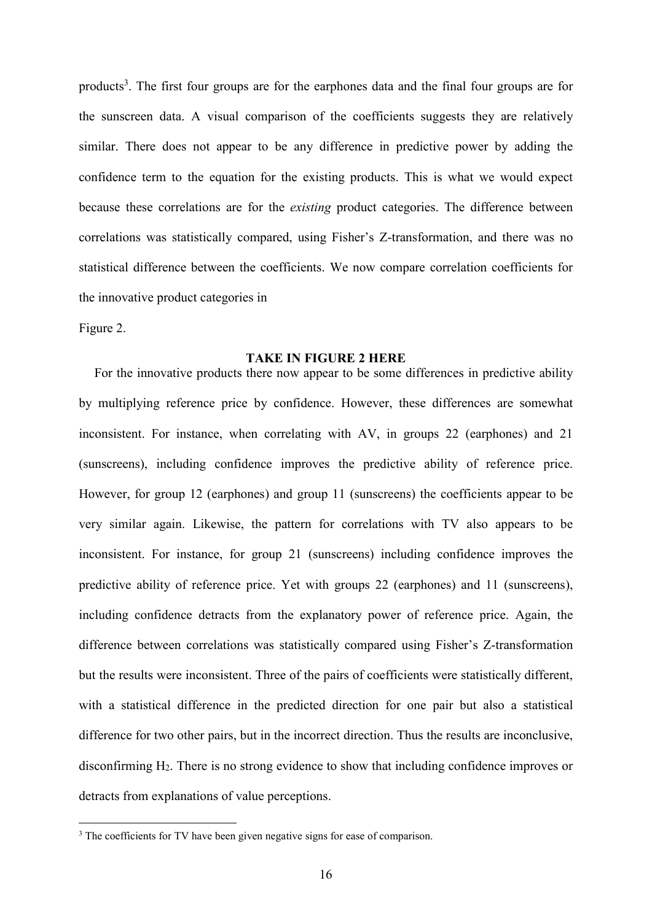products<sup>3</sup>. The first four groups are for the earphones data and the final four groups are for the sunscreen data. A visual comparison of the coefficients suggests they are relatively similar. There does not appear to be any difference in predictive power by adding the confidence term to the equation for the existing products. This is what we would expect because these correlations are for the *existing* product categories. The difference between correlations was statistically compared, using Fisher's Z-transformation, and there was no statistical difference between the coefficients. We now compare correlation coefficients for the innovative product categories in

Figure 2.

#### **TAKE IN FIGURE 2 HERE**

For the innovative products there now appear to be some differences in predictive ability by multiplying reference price by confidence. However, these differences are somewhat inconsistent. For instance, when correlating with AV, in groups 22 (earphones) and 21 (sunscreens), including confidence improves the predictive ability of reference price. However, for group 12 (earphones) and group 11 (sunscreens) the coefficients appear to be very similar again. Likewise, the pattern for correlations with TV also appears to be inconsistent. For instance, for group 21 (sunscreens) including confidence improves the predictive ability of reference price. Yet with groups 22 (earphones) and 11 (sunscreens), including confidence detracts from the explanatory power of reference price. Again, the difference between correlations was statistically compared using Fisher's Z-transformation but the results were inconsistent. Three of the pairs of coefficients were statistically different, with a statistical difference in the predicted direction for one pair but also a statistical difference for two other pairs, but in the incorrect direction. Thus the results are inconclusive, disconfirming  $H_2$ . There is no strong evidence to show that including confidence improves or detracts from explanations of value perceptions.

<sup>&</sup>lt;sup>3</sup> The coefficients for TV have been given negative signs for ease of comparison.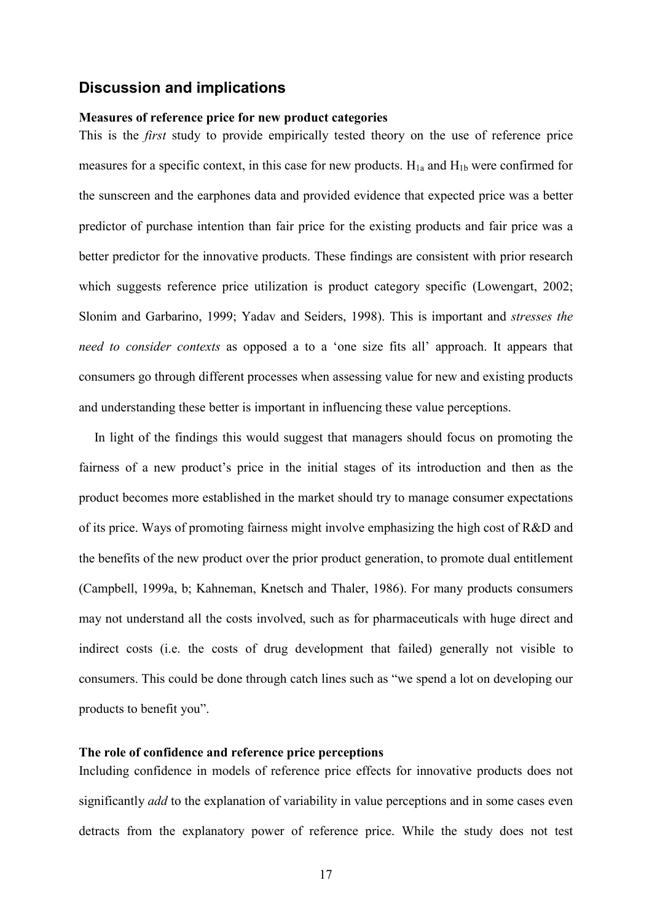#### **Discussion and implications**

#### Measures of reference price for new product categories

This is the *first* study to provide empirically tested theory on the use of reference price measures for a specific context, in this case for new products.  $H_{1a}$  and  $H_{1b}$  were confirmed for the sunscreen and the earphones data and provided evidence that expected price was a better predictor of purchase intention than fair price for the existing products and fair price was a better predictor for the innovative products. These findings are consistent with prior research which suggests reference price utilization is product category specific (Lowengart, 2002; Slonim and Garbarino, 1999; Yadav and Seiders, 1998). This is important and *stresses the* need to consider contexts as opposed a to a 'one size fits all' approach. It appears that consumers go through different processes when assessing value for new and existing products and understanding these better is important in influencing these value perceptions.

In light of the findings this would suggest that managers should focus on promoting the fairness of a new product's price in the initial stages of its introduction and then as the product becomes more established in the market should try to manage consumer expectations of its price. Ways of promoting fairness might involve emphasizing the high cost of R&D and the benefits of the new product over the prior product generation, to promote dual entitlement (Campbell, 1999a, b; Kahneman, Knetsch and Thaler, 1986). For many products consumers may not understand all the costs involved, such as for pharmaceuticals with huge direct and indirect costs (i.e. the costs of drug development that failed) generally not visible to consumers. This could be done through catch lines such as "we spend a lot on developing our products to benefit you".

#### The role of confidence and reference price perceptions

Including confidence in models of reference price effects for innovative products does not significantly *add* to the explanation of variability in value perceptions and in some cases even detracts from the explanatory power of reference price. While the study does not test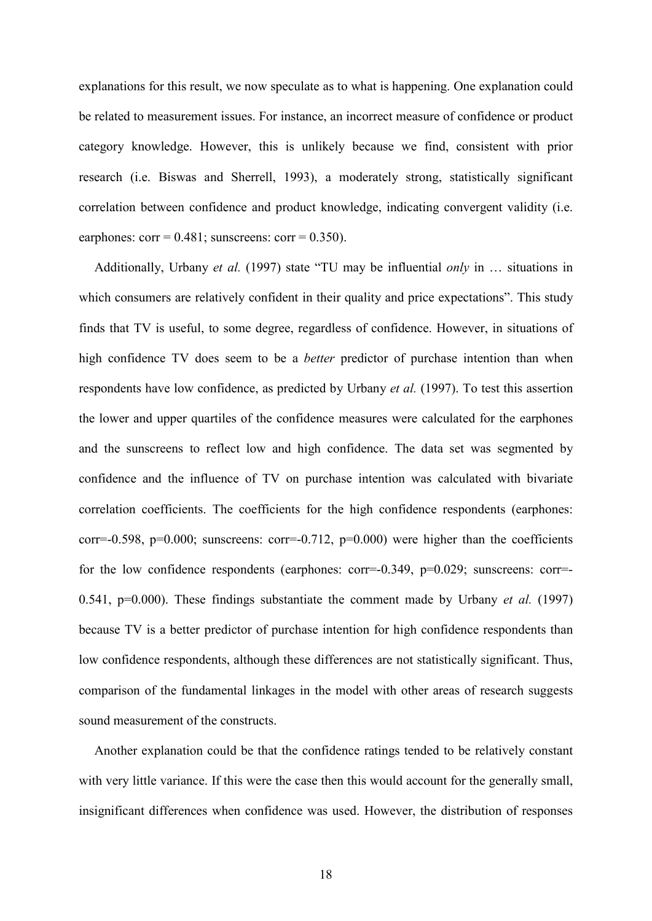explanations for this result, we now speculate as to what is happening. One explanation could be related to measurement issues. For instance, an incorrect measure of confidence or product category knowledge. However, this is unlikely because we find, consistent with prior research (i.e. Biswas and Sherrell, 1993), a moderately strong, statistically significant correlation between confidence and product knowledge, indicating convergent validity (i.e. earphones:  $corr = 0.481$ ; sunscreens:  $corr = 0.350$ ).

Additionally, Urbany et al. (1997) state "TU may be influential only in ... situations in which consumers are relatively confident in their quality and price expectations". This study finds that TV is useful, to some degree, regardless of confidence. However, in situations of high confidence TV does seem to be a *better* predictor of purchase intention than when respondents have low confidence, as predicted by Urbany et al. (1997). To test this assertion the lower and upper quartiles of the confidence measures were calculated for the earphones and the sunscreens to reflect low and high confidence. The data set was segmented by confidence and the influence of TV on purchase intention was calculated with bivariate correlation coefficients. The coefficients for the high confidence respondents (earphones: corr=-0.598, p=0.000; sunscreens: corr=-0.712, p=0.000) were higher than the coefficients for the low confidence respondents (earphones: corr=-0.349, p=0.029; sunscreens: corr=-0.541,  $p=0.000$ ). These findings substantiate the comment made by Urbany *et al.* (1997) because TV is a better predictor of purchase intention for high confidence respondents than low confidence respondents, although these differences are not statistically significant. Thus, comparison of the fundamental linkages in the model with other areas of research suggests sound measurement of the constructs.

Another explanation could be that the confidence ratings tended to be relatively constant with very little variance. If this were the case then this would account for the generally small, insignificant differences when confidence was used. However, the distribution of responses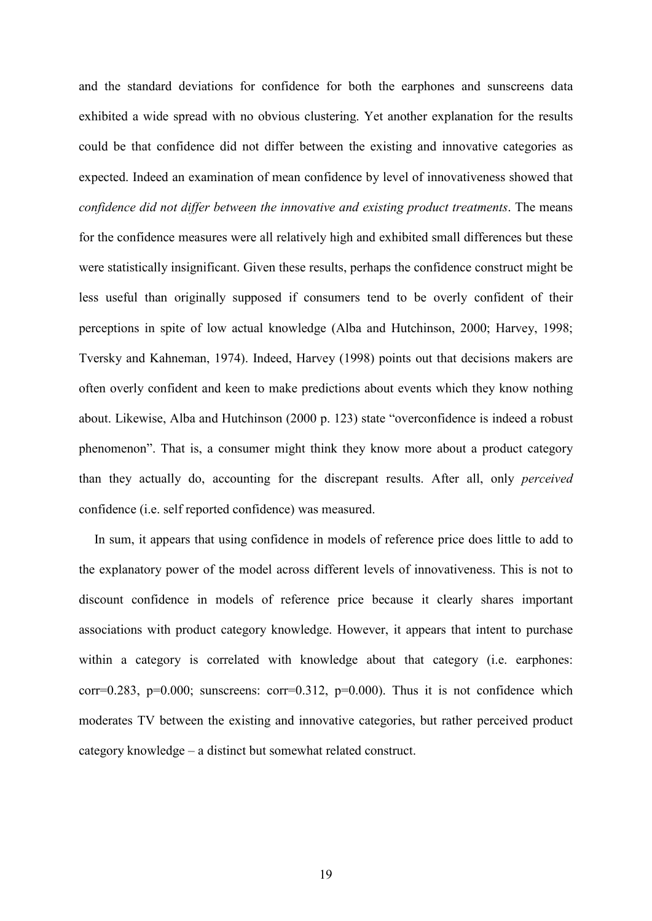and the standard deviations for confidence for both the earphones and sunscreens data exhibited a wide spread with no obvious clustering. Yet another explanation for the results could be that confidence did not differ between the existing and innovative categories as expected. Indeed an examination of mean confidence by level of innovativeness showed that confidence did not differ between the innovative and existing product treatments. The means for the confidence measures were all relatively high and exhibited small differences but these were statistically insignificant. Given these results, perhaps the confidence construct might be less useful than originally supposed if consumers tend to be overly confident of their perceptions in spite of low actual knowledge (Alba and Hutchinson, 2000; Harvey, 1998; Tversky and Kahneman, 1974). Indeed, Harvey (1998) points out that decisions makers are often overly confident and keen to make predictions about events which they know nothing about. Likewise, Alba and Hutchinson (2000 p. 123) state "overconfidence is indeed a robust phenomenon". That is, a consumer might think they know more about a product category than they actually do, accounting for the discrepant results. After all, only *perceived* confidence *(i.e. self reported confidence)* was measured.

In sum, it appears that using confidence in models of reference price does little to add to the explanatory power of the model across different levels of innovativeness. This is not to discount confidence in models of reference price because it clearly shares important associations with product category knowledge. However, it appears that intent to purchase within a category is correlated with knowledge about that category (i.e. earphones: corr=0.283,  $p=0.000$ ; sunscreens: corr=0.312,  $p=0.000$ ). Thus it is not confidence which moderates TV between the existing and innovative categories, but rather perceived product category knowledge – a distinct but somewhat related construct.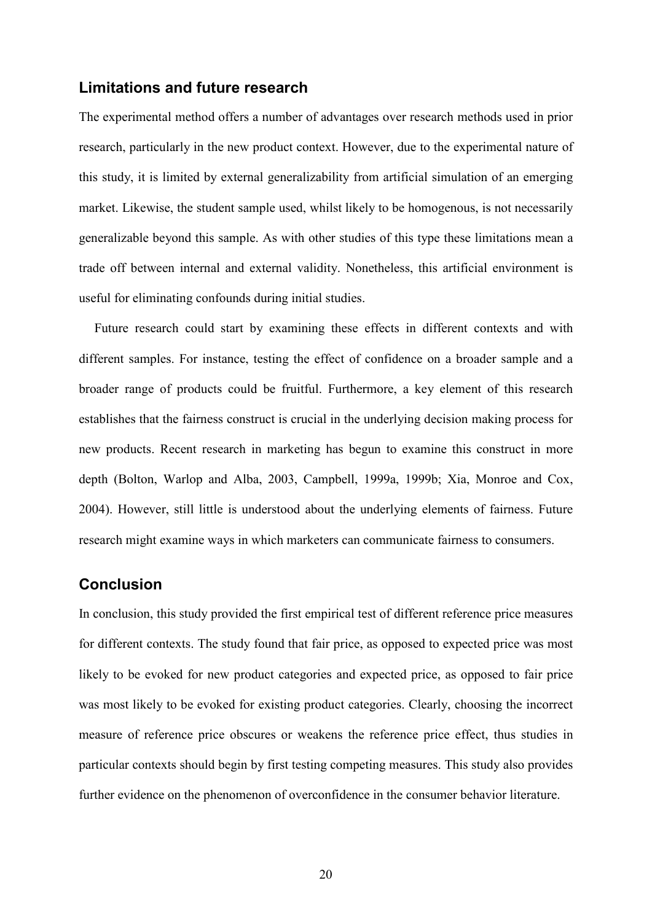#### Limitations and future research

The experimental method offers a number of advantages over research methods used in prior research, particularly in the new product context. However, due to the experimental nature of this study, it is limited by external generalizability from artificial simulation of an emerging market. Likewise, the student sample used, whilst likely to be homogenous, is not necessarily generalizable beyond this sample. As with other studies of this type these limitations mean a trade off between internal and external validity. Nonetheless, this artificial environment is useful for eliminating confounds during initial studies.

Future research could start by examining these effects in different contexts and with different samples. For instance, testing the effect of confidence on a broader sample and a broader range of products could be fruitful. Furthermore, a key element of this research establishes that the fairness construct is crucial in the underlying decision making process for new products. Recent research in marketing has begun to examine this construct in more depth (Bolton, Warlop and Alba, 2003, Campbell, 1999a, 1999b; Xia, Monroe and Cox, 2004). However, still little is understood about the underlying elements of fairness. Future research might examine ways in which marketers can communicate fairness to consumers.

## **Conclusion**

In conclusion, this study provided the first empirical test of different reference price measures for different contexts. The study found that fair price, as opposed to expected price was most likely to be evoked for new product categories and expected price, as opposed to fair price was most likely to be evoked for existing product categories. Clearly, choosing the incorrect measure of reference price obscures or weakens the reference price effect, thus studies in particular contexts should begin by first testing competing measures. This study also provides further evidence on the phenomenon of overconfidence in the consumer behavior literature.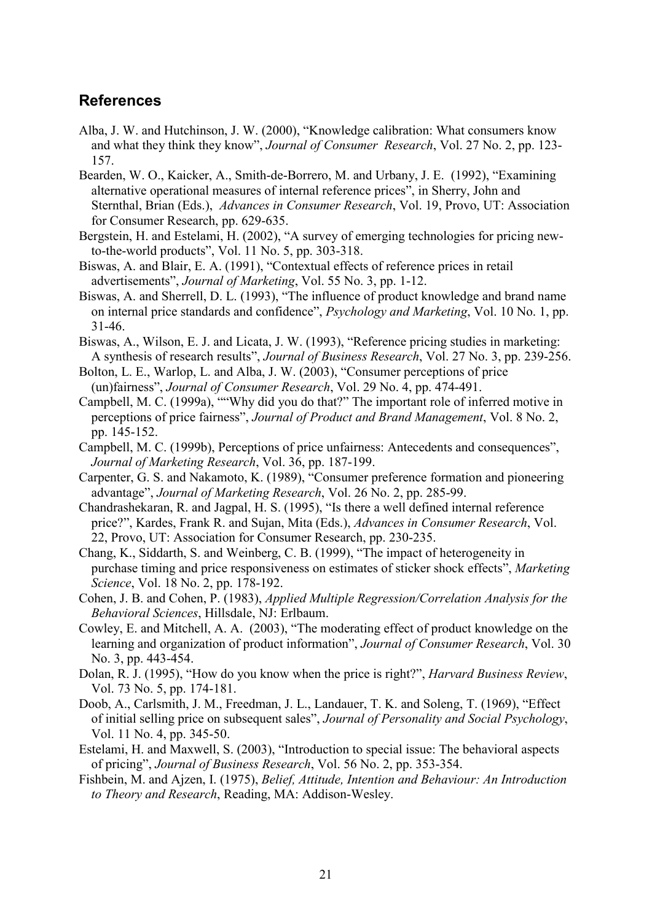### **References**

- Alba, J. W. and Hutchinson, J. W. (2000), "Knowledge calibration: What consumers know and what they think they know", Journal of Consumer Research, Vol. 27 No. 2, pp. 123-157.
- Bearden, W. O., Kaicker, A., Smith-de-Borrero, M. and Urbany, J. E. (1992), "Examining alternative operational measures of internal reference prices", in Sherry, John and Sternthal, Brian (Eds.), Advances in Consumer Research, Vol. 19, Provo, UT: Association for Consumer Research, pp. 629-635.
- Bergstein, H. and Estelami, H. (2002), "A survey of emerging technologies for pricing newto-the-world products", Vol. 11 No. 5, pp. 303-318.
- Biswas, A. and Blair, E. A. (1991), "Contextual effects of reference prices in retail advertisements", Journal of Marketing, Vol. 55 No. 3, pp. 1-12.
- Biswas, A. and Sherrell, D. L. (1993), "The influence of product knowledge and brand name on internal price standards and confidence", *Psychology and Marketing*, Vol. 10 No. 1, pp.  $31 - 46$
- Biswas, A., Wilson, E. J. and Licata, J. W. (1993), "Reference pricing studies in marketing: A synthesis of research results", Journal of Business Research, Vol. 27 No. 3, pp. 239-256.
- Bolton, L. E., Warlop, L. and Alba, J. W. (2003), "Consumer perceptions of price (un)fairness", Journal of Consumer Research, Vol. 29 No. 4, pp. 474-491.
- Campbell, M. C. (1999a), ""Why did you do that?" The important role of inferred motive in perceptions of price fairness", Journal of Product and Brand Management, Vol. 8 No. 2, pp. 145-152.
- Campbell, M. C. (1999b), Perceptions of price unfairness: Antecedents and consequences", Journal of Marketing Research, Vol. 36, pp. 187-199.
- Carpenter, G. S. and Nakamoto, K. (1989), "Consumer preference formation and pioneering advantage", Journal of Marketing Research, Vol. 26 No. 2, pp. 285-99.
- Chandrashekaran, R. and Jagpal, H. S. (1995), "Is there a well defined internal reference price?", Kardes, Frank R. and Sujan, Mita (Eds.), Advances in Consumer Research, Vol. 22, Provo, UT: Association for Consumer Research, pp. 230-235.
- Chang, K., Siddarth, S. and Weinberg, C. B. (1999), "The impact of heterogeneity in purchase timing and price responsiveness on estimates of sticker shock effects", Marketing Science, Vol. 18 No. 2, pp. 178-192.
- Cohen, J. B. and Cohen, P. (1983), Applied Multiple Regression/Correlation Analysis for the Behavioral Sciences, Hillsdale, NJ: Erlbaum.
- Cowley, E. and Mitchell, A. A. (2003), "The moderating effect of product knowledge on the learning and organization of product information", *Journal of Consumer Research*, Vol. 30 No. 3, pp. 443-454.
- Dolan, R. J. (1995), "How do you know when the price is right?", *Harvard Business Review*, Vol. 73 No. 5, pp. 174-181.
- Doob, A., Carlsmith, J. M., Freedman, J. L., Landauer, T. K. and Soleng, T. (1969), "Effect of initial selling price on subsequent sales", Journal of Personality and Social Psychology, Vol. 11 No. 4, pp. 345-50.
- Estelami, H. and Maxwell, S. (2003), "Introduction to special issue: The behavioral aspects of pricing", Journal of Business Research, Vol. 56 No. 2, pp. 353-354.
- Fishbein, M. and Ajzen, I. (1975), Belief, Attitude, Intention and Behaviour: An Introduction to Theory and Research, Reading, MA: Addison-Wesley.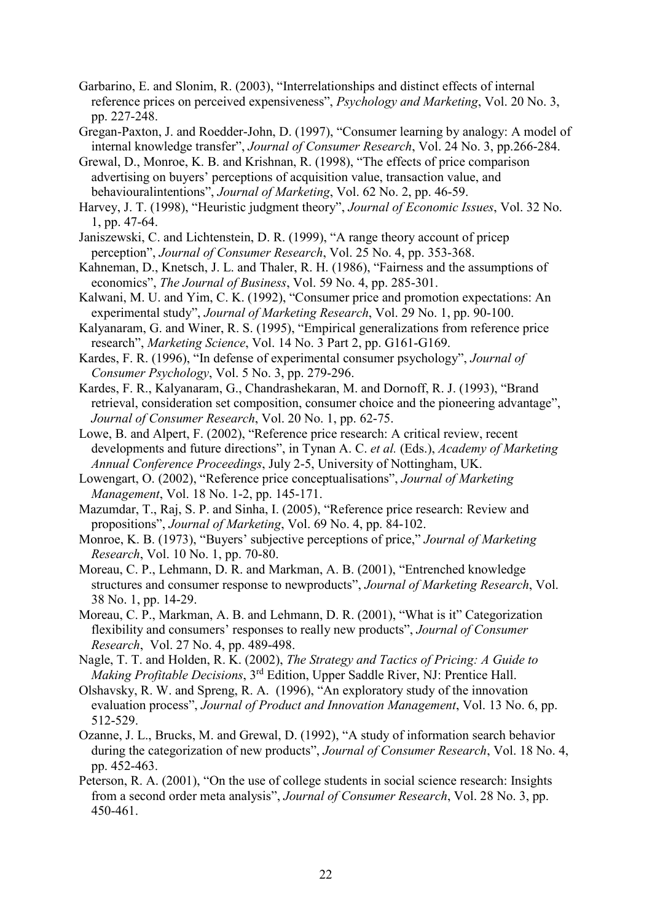- Garbarino, E. and Slonim, R. (2003), "Interrelationships and distinct effects of internal reference prices on perceived expensiveness", Psychology and Marketing, Vol. 20 No. 3, pp. 227-248.
- Gregan-Paxton, J. and Roedder-John, D. (1997), "Consumer learning by analogy: A model of internal knowledge transfer", Journal of Consumer Research, Vol. 24 No. 3, pp.266-284.
- Grewal, D., Monroe, K. B. and Krishnan, R. (1998), "The effects of price comparison advertising on buyers' perceptions of acquisition value, transaction value, and behavioural intentions", Journal of Marketing, Vol. 62 No. 2, pp. 46-59.
- Harvey, J. T. (1998), "Heuristic judgment theory", Journal of Economic Issues, Vol. 32 No.  $1, pp. 47-64.$
- Janiszewski, C. and Lichtenstein, D. R. (1999), "A range theory account of pricep perception", Journal of Consumer Research, Vol. 25 No. 4, pp. 353-368.
- Kahneman, D., Knetsch, J. L. and Thaler, R. H. (1986), "Fairness and the assumptions of economics", *The Journal of Business*, Vol. 59 No. 4, pp. 285-301.
- Kalwani, M. U. and Yim, C. K. (1992), "Consumer price and promotion expectations: An experimental study", Journal of Marketing Research, Vol. 29 No. 1, pp. 90-100.
- Kalyanaram, G. and Winer, R. S. (1995), "Empirical generalizations from reference price research", Marketing Science, Vol. 14 No. 3 Part 2, pp. G161-G169.
- Kardes, F. R. (1996), "In defense of experimental consumer psychology", *Journal of* Consumer Psychology, Vol. 5 No. 3, pp. 279-296.
- Kardes, F. R., Kalyanaram, G., Chandrashekaran, M. and Dornoff, R. J. (1993), "Brand retrieval, consideration set composition, consumer choice and the pioneering advantage". Journal of Consumer Research, Vol. 20 No. 1, pp. 62-75.
- Lowe, B. and Alpert, F. (2002), "Reference price research: A critical review, recent developments and future directions", in Tynan A. C. et al. (Eds.), Academy of Marketing Annual Conference Proceedings, July 2-5, University of Nottingham, UK.
- Lowengart, O. (2002), "Reference price conceptualisations", Journal of Marketing Management, Vol. 18 No. 1-2, pp. 145-171.
- Mazumdar, T., Raj, S. P. and Sinha, I. (2005), "Reference price research: Review and propositions", Journal of Marketing, Vol. 69 No. 4, pp. 84-102.
- Monroe, K. B. (1973), "Buyers' subjective perceptions of price," Journal of Marketing Research, Vol. 10 No. 1, pp. 70-80.
- Moreau, C. P., Lehmann, D. R. and Markman, A. B. (2001), "Entrenched knowledge structures and consumer response to newproducts", Journal of Marketing Research, Vol. 38 No. 1, pp. 14-29.
- Moreau, C. P., Markman, A. B. and Lehmann, D. R. (2001), "What is it" Categorization flexibility and consumers' responses to really new products", Journal of Consumer Research, Vol. 27 No. 4, pp. 489-498.
- Nagle, T. T. and Holden, R. K. (2002), The Strategy and Tactics of Pricing: A Guide to Making Profitable Decisions, 3<sup>rd</sup> Edition, Upper Saddle River, NJ: Prentice Hall.
- Olshavsky, R. W. and Spreng, R. A. (1996), "An exploratory study of the innovation evaluation process", Journal of Product and Innovation Management, Vol. 13 No. 6, pp. 512-529.
- Ozanne, J. L., Brucks, M. and Grewal, D. (1992), "A study of information search behavior during the categorization of new products", Journal of Consumer Research, Vol. 18 No. 4, pp. 452-463.
- Peterson, R. A. (2001), "On the use of college students in social science research: Insights from a second order meta analysis", Journal of Consumer Research, Vol. 28 No. 3, pp. 450-461.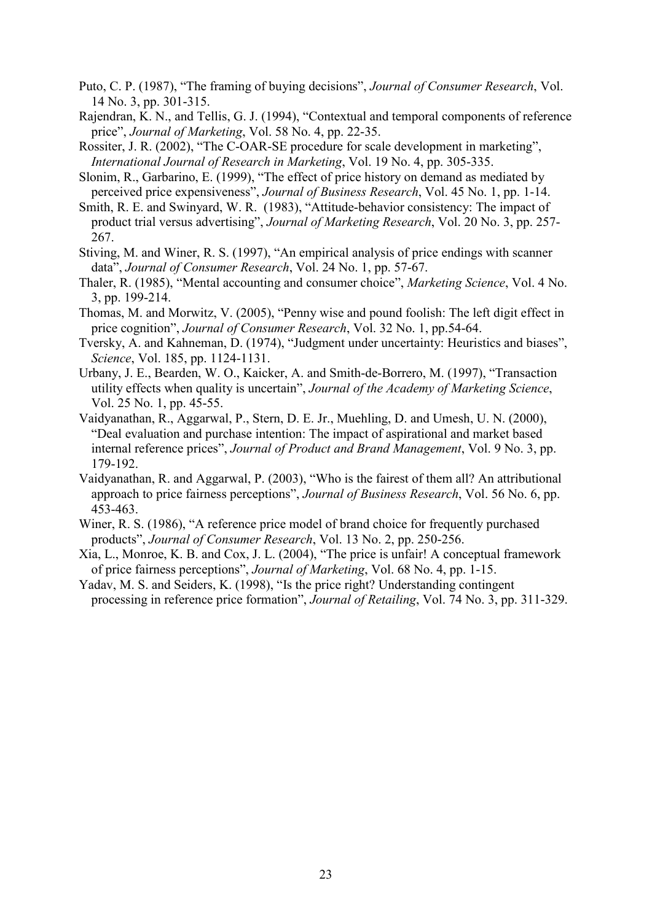- Puto, C. P. (1987), "The framing of buying decisions", *Journal of Consumer Research*, Vol. 14 No. 3, pp. 301-315.
- Rajendran, K. N., and Tellis, G. J. (1994), "Contextual and temporal components of reference price", Journal of Marketing, Vol. 58 No. 4, pp. 22-35.
- Rossiter, J. R. (2002), "The C-OAR-SE procedure for scale development in marketing", International Journal of Research in Marketing, Vol. 19 No. 4, pp. 305-335.
- Slonim, R., Garbarino, E. (1999), "The effect of price history on demand as mediated by perceived price expensiveness", Journal of Business Research, Vol. 45 No. 1, pp. 1-14.
- Smith, R. E. and Swinyard, W. R. (1983), "Attitude-behavior consistency: The impact of product trial versus advertising", Journal of Marketing Research, Vol. 20 No. 3, pp. 257-267.
- Stiving, M. and Winer, R. S. (1997), "An empirical analysis of price endings with scanner data", Journal of Consumer Research, Vol. 24 No. 1, pp. 57-67.
- Thaler, R. (1985), "Mental accounting and consumer choice", Marketing Science, Vol. 4 No. 3, pp. 199-214.
- Thomas, M. and Morwitz, V. (2005), "Penny wise and pound foolish: The left digit effect in price cognition", Journal of Consumer Research, Vol. 32 No. 1, pp.54-64.
- Tversky, A. and Kahneman, D. (1974), "Judgment under uncertainty: Heuristics and biases", Science, Vol. 185, pp. 1124-1131.
- Urbany, J. E., Bearden, W. O., Kaicker, A. and Smith-de-Borrero, M. (1997), "Transaction utility effects when quality is uncertain", Journal of the Academy of Marketing Science, Vol. 25 No. 1, pp. 45-55.
- Vaidyanathan, R., Aggarwal, P., Stern, D. E. Jr., Muehling, D. and Umesh, U. N. (2000), "Deal evaluation and purchase intention: The impact of aspirational and market based internal reference prices", Journal of Product and Brand Management, Vol. 9 No. 3, pp. 179-192.
- Vaidyanathan, R. and Aggarwal, P. (2003), "Who is the fairest of them all? An attributional approach to price fairness perceptions", Journal of Business Research, Vol. 56 No. 6, pp. 453-463.
- Winer, R. S. (1986), "A reference price model of brand choice for frequently purchased products", Journal of Consumer Research, Vol. 13 No. 2, pp. 250-256.
- Xia, L., Monroe, K. B. and Cox, J. L. (2004), "The price is unfair! A conceptual framework of price fairness perceptions", Journal of Marketing, Vol. 68 No. 4, pp. 1-15.
- Yadav, M. S. and Seiders, K. (1998), "Is the price right? Understanding contingent processing in reference price formation", *Journal of Retailing*, Vol. 74 No. 3, pp. 311-329.